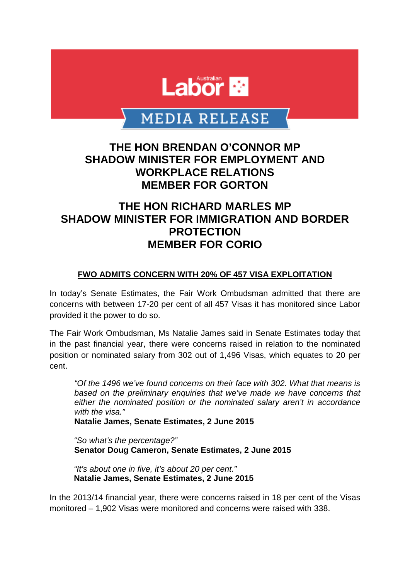

# MEDIA RELEASE

### **THE HON BRENDAN O'CONNOR MP SHADOW MINISTER FOR EMPLOYMENT AND WORKPLACE RELATIONS MEMBER FOR GORTON**

## **THE HON RICHARD MARLES MP SHADOW MINISTER FOR IMMIGRATION AND BORDER PROTECTION MEMBER FOR CORIO**

#### **FWO ADMITS CONCERN WITH 20% OF 457 VISA EXPLOITATION**

In today's Senate Estimates, the Fair Work Ombudsman admitted that there are concerns with between 17-20 per cent of all 457 Visas it has monitored since Labor provided it the power to do so.

The Fair Work Ombudsman, Ms Natalie James said in Senate Estimates today that in the past financial year, there were concerns raised in relation to the nominated position or nominated salary from 302 out of 1,496 Visas, which equates to 20 per cent.

*"Of the 1496 we've found concerns on their face with 302. What that means is based on the preliminary enquiries that we've made we have concerns that either the nominated position or the nominated salary aren't in accordance with the visa."*

**Natalie James, Senate Estimates, 2 June 2015**

*"So what's the percentage?"* **Senator Doug Cameron, Senate Estimates, 2 June 2015**

*"It's about one in five, it's about 20 per cent."* **Natalie James, Senate Estimates, 2 June 2015**

In the 2013/14 financial year, there were concerns raised in 18 per cent of the Visas monitored – 1,902 Visas were monitored and concerns were raised with 338.